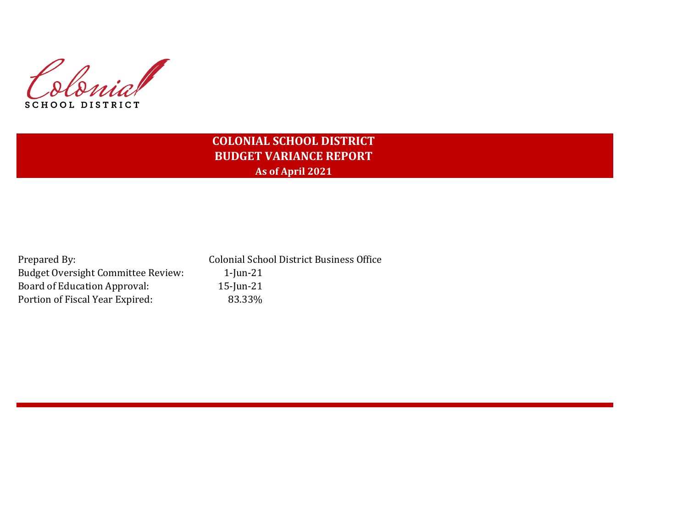Colonial SCHOOL DISTRICT

## **COLONIAL SCHOOL DISTRICT BUDGET VARIANCE REPORT As of April 2021**

| Prepared By:                              | <b>Colonial School District Business Office</b> |
|-------------------------------------------|-------------------------------------------------|
| <b>Budget Oversight Committee Review:</b> | $1$ -Jun- $21$                                  |
| Board of Education Approval:              | $15$ -Jun-21                                    |
| Portion of Fiscal Year Expired:           | 83.33%                                          |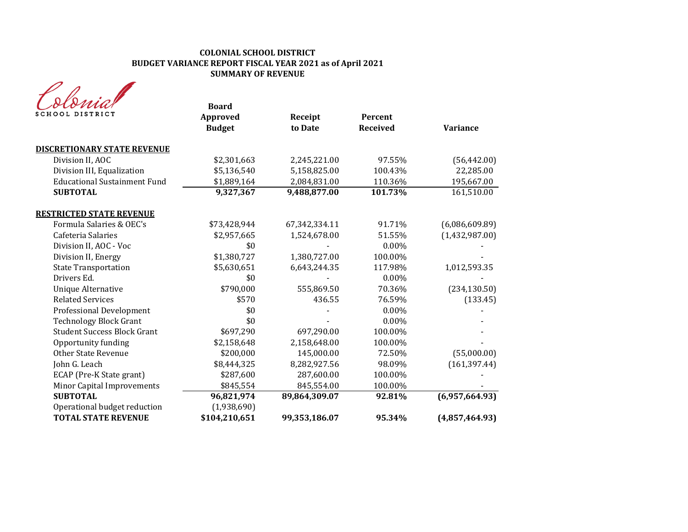#### **COLONIAL SCHOOL DISTRICT BUDGET VARIANCE REPORT FISCAL YEAR 2021 as of April 2021 SUMMARY OF REVENUE**

| SCHOOL DISTRICT                     | <b>Board</b><br>Approved<br><b>Budget</b> | Receipt<br>to Date | Percent<br><b>Received</b> | <b>Variance</b> |
|-------------------------------------|-------------------------------------------|--------------------|----------------------------|-----------------|
| <b>DISCRETIONARY STATE REVENUE</b>  |                                           |                    |                            |                 |
| Division II, AOC                    | \$2,301,663                               | 2,245,221.00       | 97.55%                     | (56, 442.00)    |
| Division III, Equalization          | \$5,136,540                               | 5,158,825.00       | 100.43%                    | 22,285.00       |
| <b>Educational Sustainment Fund</b> | \$1,889,164                               | 2,084,831.00       | 110.36%                    | 195,667.00      |
| <b>SUBTOTAL</b>                     | 9,327,367                                 | 9,488,877.00       | 101.73%                    | 161,510.00      |
| <b>RESTRICTED STATE REVENUE</b>     |                                           |                    |                            |                 |
| Formula Salaries & OEC's            | \$73,428,944                              | 67,342,334.11      | 91.71%                     | (6,086,609.89)  |
| Cafeteria Salaries                  | \$2,957,665                               | 1,524,678.00       | 51.55%                     | (1,432,987.00)  |
| Division II, AOC - Voc              | \$0                                       |                    | 0.00%                      |                 |
| Division II, Energy                 | \$1,380,727                               | 1,380,727.00       | 100.00%                    |                 |
| <b>State Transportation</b>         | \$5,630,651                               | 6,643,244.35       | 117.98%                    | 1,012,593.35    |
| Drivers Ed.                         | \$0                                       |                    | 0.00%                      |                 |
| <b>Unique Alternative</b>           | \$790,000                                 | 555,869.50         | 70.36%                     | (234, 130.50)   |
| <b>Related Services</b>             | \$570                                     | 436.55             | 76.59%                     | (133.45)        |
| Professional Development            | \$0                                       |                    | $0.00\%$                   |                 |
| <b>Technology Block Grant</b>       | \$0                                       |                    | 0.00%                      |                 |
| <b>Student Success Block Grant</b>  | \$697,290                                 | 697,290.00         | 100.00%                    |                 |
| Opportunity funding                 | \$2,158,648                               | 2,158,648.00       | 100.00%                    |                 |
| <b>Other State Revenue</b>          | \$200,000                                 | 145,000.00         | 72.50%                     | (55,000.00)     |
| John G. Leach                       | \$8,444,325                               | 8,282,927.56       | 98.09%                     | (161, 397.44)   |
| ECAP (Pre-K State grant)            | \$287,600                                 | 287,600.00         | 100.00%                    |                 |
| Minor Capital Improvements          | \$845,554                                 | 845,554.00         | 100.00%                    |                 |
| <b>SUBTOTAL</b>                     | 96,821,974                                | 89,864,309.07      | 92.81%                     | (6,957,664.93)  |
| Operational budget reduction        | (1,938,690)                               |                    |                            |                 |
| <b>TOTAL STATE REVENUE</b>          | \$104,210,651                             | 99,353,186.07      | 95.34%                     | (4,857,464.93)  |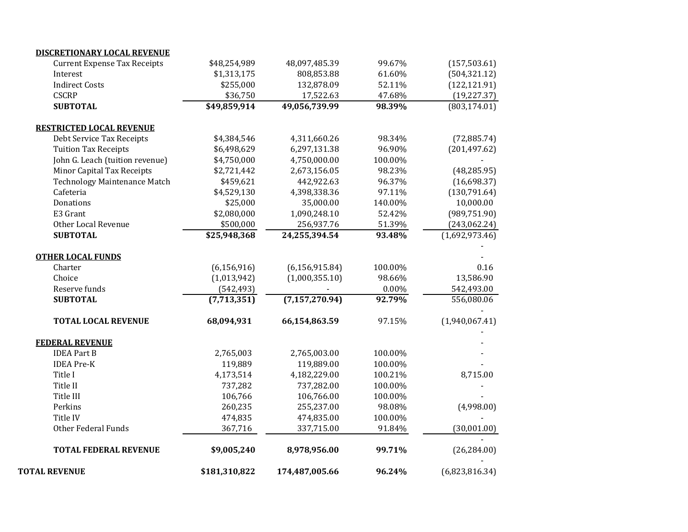| \$9,005,240   | 8,978,956.00                                                                                                                             | 99.71%                                                                                                                                                                 | (26, 284.00)                                                                                                          |
|---------------|------------------------------------------------------------------------------------------------------------------------------------------|------------------------------------------------------------------------------------------------------------------------------------------------------------------------|-----------------------------------------------------------------------------------------------------------------------|
|               |                                                                                                                                          |                                                                                                                                                                        | (30,001.00)                                                                                                           |
| 474,835       | 474,835.00                                                                                                                               | 100.00%                                                                                                                                                                |                                                                                                                       |
| 260,235       | 255,237.00                                                                                                                               | 98.08%                                                                                                                                                                 | (4,998.00)                                                                                                            |
| 106,766       | 106,766.00                                                                                                                               | 100.00%                                                                                                                                                                |                                                                                                                       |
| 737,282       | 737,282.00                                                                                                                               | 100.00%                                                                                                                                                                |                                                                                                                       |
| 4,173,514     | 4,182,229.00                                                                                                                             | 100.21%                                                                                                                                                                | 8,715.00                                                                                                              |
| 119,889       | 119,889.00                                                                                                                               | 100.00%                                                                                                                                                                |                                                                                                                       |
| 2,765,003     | 2,765,003.00                                                                                                                             | 100.00%                                                                                                                                                                |                                                                                                                       |
|               |                                                                                                                                          |                                                                                                                                                                        |                                                                                                                       |
| 68,094,931    | 66,154,863.59                                                                                                                            | 97.15%                                                                                                                                                                 | (1,940,067.41)                                                                                                        |
| (7,713,351)   |                                                                                                                                          | 92.79%                                                                                                                                                                 | 556,080.06                                                                                                            |
| (542, 493)    |                                                                                                                                          | 0.00%                                                                                                                                                                  | 542,493.00                                                                                                            |
| (1,013,942)   | (1,000,355.10)                                                                                                                           | 98.66%                                                                                                                                                                 | 13,586.90                                                                                                             |
| (6, 156, 916) | (6, 156, 915.84)                                                                                                                         | 100.00%                                                                                                                                                                | 0.16                                                                                                                  |
|               |                                                                                                                                          |                                                                                                                                                                        |                                                                                                                       |
|               |                                                                                                                                          |                                                                                                                                                                        | (1,692,973.46)                                                                                                        |
|               |                                                                                                                                          |                                                                                                                                                                        | (243,062.24)                                                                                                          |
| \$2,080,000   | 1,090,248.10                                                                                                                             | 52.42%                                                                                                                                                                 | (989, 751.90)                                                                                                         |
| \$25,000      | 35,000.00                                                                                                                                | 140.00%                                                                                                                                                                | 10,000.00                                                                                                             |
|               |                                                                                                                                          |                                                                                                                                                                        | (130, 791.64)                                                                                                         |
|               |                                                                                                                                          |                                                                                                                                                                        | (16,698.37)                                                                                                           |
| \$2,721,442   | 2,673,156.05                                                                                                                             |                                                                                                                                                                        | (48, 285.95)                                                                                                          |
| \$4,750,000   | 4,750,000.00                                                                                                                             |                                                                                                                                                                        |                                                                                                                       |
| \$6,498,629   | 6,297,131.38                                                                                                                             | 96.90%                                                                                                                                                                 | (201, 497.62)                                                                                                         |
| \$4,384,546   | 4,311,660.26                                                                                                                             | 98.34%                                                                                                                                                                 | (72, 885.74)                                                                                                          |
|               |                                                                                                                                          |                                                                                                                                                                        |                                                                                                                       |
|               |                                                                                                                                          |                                                                                                                                                                        | (803, 174.01)                                                                                                         |
|               |                                                                                                                                          |                                                                                                                                                                        | (19, 227.37)                                                                                                          |
|               |                                                                                                                                          |                                                                                                                                                                        | (122, 121.91)                                                                                                         |
|               |                                                                                                                                          |                                                                                                                                                                        | (504, 321.12)                                                                                                         |
|               |                                                                                                                                          |                                                                                                                                                                        | (157, 503.61)                                                                                                         |
|               | \$48,254,989<br>\$1,313,175<br>\$255,000<br>\$36,750<br>\$49,859,914<br>\$459,621<br>\$4,529,130<br>\$500,000<br>\$25,948,368<br>367,716 | 48,097,485.39<br>808,853.88<br>132,878.09<br>17,522.63<br>49,056,739.99<br>442,922.63<br>4,398,338.36<br>256,937.76<br>24,255,394.54<br>(7, 157, 270.94)<br>337,715.00 | 99.67%<br>61.60%<br>52.11%<br>47.68%<br>98.39%<br>100.00%<br>98.23%<br>96.37%<br>97.11%<br>51.39%<br>93.48%<br>91.84% |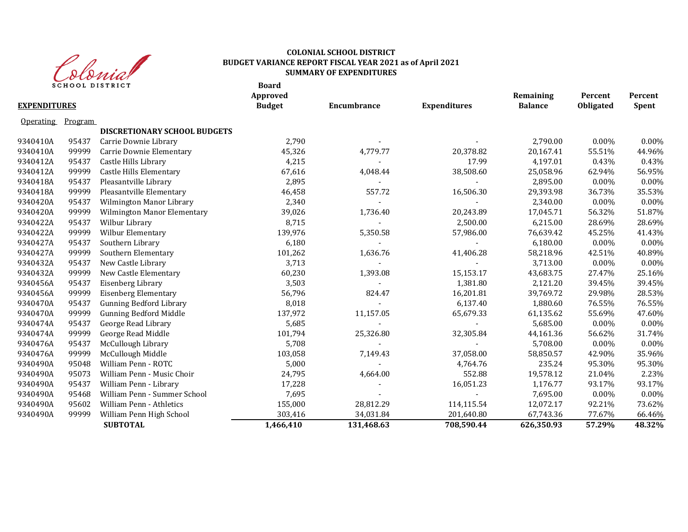

#### **Board COLONIAL SCHOOL DISTRICT BUDGET VARIANCE REPORT FISCAL YEAR 2021 as of April 2021 SUMMARY OF EXPENDITURES**

| <b>EXPENDITURES</b> | o cho che pio i vici |                                     | DUAI U<br><b>Approved</b><br><b>Budget</b> | Encumbrance              | <b>Expenditures</b> | Remaining<br><b>Balance</b> | Percent<br>Obligated | Percent<br>Spent |
|---------------------|----------------------|-------------------------------------|--------------------------------------------|--------------------------|---------------------|-----------------------------|----------------------|------------------|
| <b>Operating</b>    | Program              |                                     |                                            |                          |                     |                             |                      |                  |
|                     |                      | <b>DISCRETIONARY SCHOOL BUDGETS</b> |                                            |                          |                     |                             |                      |                  |
| 9340410A            | 95437                | Carrie Downie Library               | 2,790                                      |                          |                     | 2,790.00                    | $0.00\%$             | 0.00%            |
| 9340410A            | 99999                | Carrie Downie Elementary            | 45,326                                     | 4,779.77                 | 20,378.82           | 20,167.41                   | 55.51%               | 44.96%           |
| 9340412A            | 95437                | Castle Hills Library                | 4,215                                      |                          | 17.99               | 4,197.01                    | 0.43%                | 0.43%            |
| 9340412A            | 99999                | Castle Hills Elementary             | 67,616                                     | 4,048.44                 | 38,508.60           | 25,058.96                   | 62.94%               | 56.95%           |
| 9340418A            | 95437                | Pleasantville Library               | 2,895                                      |                          |                     | 2,895.00                    | $0.00\%$             | 0.00%            |
| 9340418A            | 99999                | Pleasantville Elementary            | 46,458                                     | 557.72                   | 16,506.30           | 29,393.98                   | 36.73%               | 35.53%           |
| 9340420A            | 95437                | <b>Wilmington Manor Library</b>     | 2,340                                      |                          |                     | 2,340.00                    | $0.00\%$             | 0.00%            |
| 9340420A            | 99999                | Wilmington Manor Elementary         | 39,026                                     | 1,736.40                 | 20,243.89           | 17,045.71                   | 56.32%               | 51.87%           |
| 9340422A            | 95437                | Wilbur Library                      | 8,715                                      |                          | 2,500.00            | 6,215.00                    | 28.69%               | 28.69%           |
| 9340422A            | 99999                | Wilbur Elementary                   | 139,976                                    | 5,350.58                 | 57,986.00           | 76,639.42                   | 45.25%               | 41.43%           |
| 9340427A            | 95437                | Southern Library                    | 6,180                                      |                          |                     | 6,180.00                    | 0.00%                | 0.00%            |
| 9340427A            | 99999                | Southern Elementary                 | 101,262                                    | 1,636.76                 | 41,406.28           | 58,218.96                   | 42.51%               | 40.89%           |
| 9340432A            | 95437                | New Castle Library                  | 3,713                                      |                          |                     | 3,713.00                    | $0.00\%$             | 0.00%            |
| 9340432A            | 99999                | New Castle Elementary               | 60,230                                     | 1,393.08                 | 15,153.17           | 43,683.75                   | 27.47%               | 25.16%           |
| 9340456A            | 95437                | Eisenberg Library                   | 3,503                                      |                          | 1,381.80            | 2,121.20                    | 39.45%               | 39.45%           |
| 9340456A            | 99999                | <b>Eisenberg Elementary</b>         | 56,796                                     | 824.47                   | 16,201.81           | 39,769.72                   | 29.98%               | 28.53%           |
| 9340470A            | 95437                | <b>Gunning Bedford Library</b>      | 8,018                                      |                          | 6,137.40            | 1,880.60                    | 76.55%               | 76.55%           |
| 9340470A            | 99999                | <b>Gunning Bedford Middle</b>       | 137,972                                    | 11,157.05                | 65,679.33           | 61,135.62                   | 55.69%               | 47.60%           |
| 9340474A            | 95437                | George Read Library                 | 5,685                                      | $\overline{\phantom{a}}$ | $\blacksquare$      | 5,685.00                    | $0.00\%$             | $0.00\%$         |
| 9340474A            | 99999                | George Read Middle                  | 101,794                                    | 25,326.80                | 32,305.84           | 44,161.36                   | 56.62%               | 31.74%           |
| 9340476A            | 95437                | McCullough Library                  | 5,708                                      |                          |                     | 5,708.00                    | 0.00%                | 0.00%            |
| 9340476A            | 99999                | McCullough Middle                   | 103,058                                    | 7,149.43                 | 37,058.00           | 58,850.57                   | 42.90%               | 35.96%           |
| 9340490A            | 95048                | William Penn - ROTC                 | 5,000                                      |                          | 4,764.76            | 235.24                      | 95.30%               | 95.30%           |
| 9340490A            | 95073                | William Penn - Music Choir          | 24,795                                     | 4,664.00                 | 552.88              | 19,578.12                   | 21.04%               | 2.23%            |
| 9340490A            | 95437                | William Penn - Library              | 17,228                                     |                          | 16,051.23           | 1,176.77                    | 93.17%               | 93.17%           |
| 9340490A            | 95468                | William Penn - Summer School        | 7,695                                      |                          |                     | 7,695.00                    | 0.00%                | 0.00%            |
| 9340490A            | 95602                | William Penn - Athletics            | 155,000                                    | 28,812.29                | 114,115.54          | 12,072.17                   | 92.21%               | 73.62%           |
| 9340490A            | 99999                | William Penn High School            | 303,416                                    | 34,031.84                | 201,640.80          | 67,743.36                   | 77.67%               | 66.46%           |
|                     |                      | <b>SUBTOTAL</b>                     | 1,466,410                                  | 131,468.63               | 708,590.44          | 626,350.93                  | 57.29%               | 48.32%           |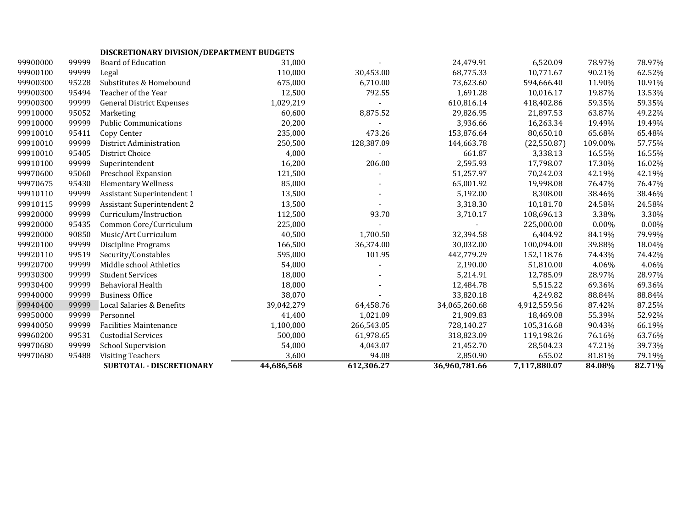|          |       | SUBTOTAL - DISCRETIONARY         | 44,686,568 | 612,306.27 | 36,960,781.66 | 7,117,880.07 | 84.08%   | 82.71%   |
|----------|-------|----------------------------------|------------|------------|---------------|--------------|----------|----------|
| 99970680 | 95488 | <b>Visiting Teachers</b>         | 3,600      | 94.08      | 2,850.90      | 655.02       | 81.81%   | 79.19%   |
| 99970680 | 99999 | <b>School Supervision</b>        | 54,000     | 4,043.07   | 21,452.70     | 28,504.23    | 47.21%   | 39.73%   |
| 99960200 | 99531 | <b>Custodial Services</b>        | 500,000    | 61,978.65  | 318,823.09    | 119,198.26   | 76.16%   | 63.76%   |
| 99940050 | 99999 | <b>Facilities Maintenance</b>    | 1,100,000  | 266,543.05 | 728,140.27    | 105,316.68   | 90.43%   | 66.19%   |
| 99950000 | 99999 | Personnel                        | 41,400     | 1,021.09   | 21,909.83     | 18,469.08    | 55.39%   | 52.92%   |
| 99940400 | 99999 | Local Salaries & Benefits        | 39,042,279 | 64,458.76  | 34,065,260.68 | 4,912,559.56 | 87.42%   | 87.25%   |
| 99940000 | 99999 | <b>Business Office</b>           | 38,070     |            | 33,820.18     | 4,249.82     | 88.84%   | 88.84%   |
| 99930400 | 99999 | Behavioral Health                | 18,000     |            | 12,484.78     | 5,515.22     | 69.36%   | 69.36%   |
| 99930300 | 99999 | <b>Student Services</b>          | 18,000     |            | 5,214.91      | 12,785.09    | 28.97%   | 28.97%   |
| 99920700 | 99999 | Middle school Athletics          | 54,000     |            | 2,190.00      | 51,810.00    | 4.06%    | 4.06%    |
| 99920110 | 99519 | Security/Constables              | 595,000    | 101.95     | 442,779.29    | 152,118.76   | 74.43%   | 74.42%   |
| 99920100 | 99999 | <b>Discipline Programs</b>       | 166,500    | 36,374.00  | 30,032.00     | 100,094.00   | 39.88%   | 18.04%   |
| 99920000 | 90850 | Music/Art Curriculum             | 40,500     | 1,700.50   | 32,394.58     | 6,404.92     | 84.19%   | 79.99%   |
| 99920000 | 95435 | Common Core/Curriculum           | 225,000    |            |               | 225,000.00   | $0.00\%$ | $0.00\%$ |
| 99920000 | 99999 | Curriculum/Instruction           | 112,500    | 93.70      | 3,710.17      | 108,696.13   | 3.38%    | 3.30%    |
| 99910115 | 99999 | Assistant Superintendent 2       | 13,500     |            | 3,318.30      | 10,181.70    | 24.58%   | 24.58%   |
| 99910110 | 99999 | Assistant Superintendent 1       | 13,500     |            | 5,192.00      | 8,308.00     | 38.46%   | 38.46%   |
| 99970675 | 95430 | <b>Elementary Wellness</b>       | 85,000     |            | 65,001.92     | 19,998.08    | 76.47%   | 76.47%   |
| 99970600 | 95060 | Preschool Expansion              | 121,500    |            | 51,257.97     | 70,242.03    | 42.19%   | 42.19%   |
| 99910100 | 99999 | Superintendent                   | 16,200     | 206.00     | 2,595.93      | 17,798.07    | 17.30%   | 16.02%   |
| 99910010 | 95405 | District Choice                  | 4,000      |            | 661.87        | 3,338.13     | 16.55%   | 16.55%   |
| 99910010 | 99999 | District Administration          | 250,500    | 128,387.09 | 144,663.78    | (22, 550.87) | 109.00%  | 57.75%   |
| 99910010 | 95411 | Copy Center                      | 235,000    | 473.26     | 153,876.64    | 80,650.10    | 65.68%   | 65.48%   |
| 99910000 | 99999 | <b>Public Communications</b>     | 20,200     |            | 3,936.66      | 16,263.34    | 19.49%   | 19.49%   |
| 99910000 | 95052 | Marketing                        | 60,600     | 8,875.52   | 29,826.95     | 21,897.53    | 63.87%   | 49.22%   |
| 99900300 | 99999 | <b>General District Expenses</b> | 1,029,219  |            | 610,816.14    | 418,402.86   | 59.35%   | 59.35%   |
| 99900300 | 95494 | Teacher of the Year              | 12,500     | 792.55     | 1,691.28      | 10,016.17    | 19.87%   | 13.53%   |
| 99900300 | 95228 | Substitutes & Homebound          | 675,000    | 6,710.00   | 73,623.60     | 594,666.40   | 11.90%   | 10.91%   |
| 99900100 | 99999 | Legal                            | 110,000    | 30,453.00  | 68,775.33     | 10,771.67    | 90.21%   | 62.52%   |
| 99900000 | 99999 | <b>Board of Education</b>        | 31,000     |            | 24,479.91     | 6,520.09     | 78.97%   | 78.97%   |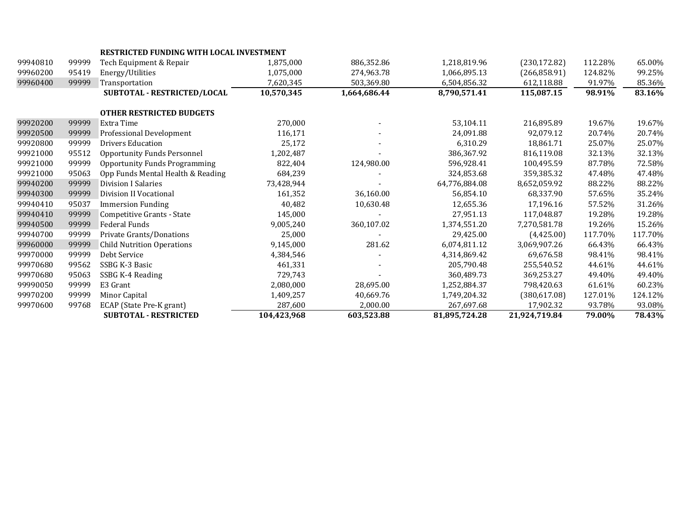|          |       | <b>RESTRICTED FUNDING WITH LOCAL INVESTMENT</b> |             |              |               |               |         |         |
|----------|-------|-------------------------------------------------|-------------|--------------|---------------|---------------|---------|---------|
| 99940810 | 99999 | Tech Equipment & Repair                         | 1,875,000   | 886,352.86   | 1,218,819.96  | (230, 172.82) | 112.28% | 65.00%  |
| 99960200 | 95419 | Energy/Utilities                                | 1,075,000   | 274,963.78   | 1,066,895.13  | (266, 858.91) | 124.82% | 99.25%  |
| 99960400 | 99999 | Transportation                                  | 7,620,345   | 503,369.80   | 6,504,856.32  | 612,118.88    | 91.97%  | 85.36%  |
|          |       | SUBTOTAL - RESTRICTED/LOCAL                     | 10,570,345  | 1,664,686.44 | 8,790,571.41  | 115,087.15    | 98.91%  | 83.16%  |
|          |       | <b>OTHER RESTRICTED BUDGETS</b>                 |             |              |               |               |         |         |
| 99920200 | 99999 | Extra Time                                      | 270,000     |              | 53,104.11     | 216,895.89    | 19.67%  | 19.67%  |
| 99920500 | 99999 | Professional Development                        | 116,171     |              | 24,091.88     | 92,079.12     | 20.74%  | 20.74%  |
| 99920800 | 99999 | Drivers Education                               | 25,172      |              | 6,310.29      | 18,861.71     | 25.07%  | 25.07%  |
| 99921000 | 95512 | <b>Opportunity Funds Personnel</b>              | 1,202,487   |              | 386.367.92    | 816.119.08    | 32.13%  | 32.13%  |
| 99921000 | 99999 | <b>Opportunity Funds Programming</b>            | 822,404     | 124,980.00   | 596,928.41    | 100,495.59    | 87.78%  | 72.58%  |
| 99921000 | 95063 | Opp Funds Mental Health & Reading               | 684,239     |              | 324,853.68    | 359,385.32    | 47.48%  | 47.48%  |
| 99940200 | 99999 | Division I Salaries                             | 73,428,944  |              | 64,776,884.08 | 8,652,059.92  | 88.22%  | 88.22%  |
| 99940300 | 99999 | Division II Vocational                          | 161,352     | 36,160.00    | 56.854.10     | 68.337.90     | 57.65%  | 35.24%  |
| 99940410 | 95037 | <b>Immersion Funding</b>                        | 40,482      | 10,630.48    | 12,655.36     | 17,196.16     | 57.52%  | 31.26%  |
| 99940410 | 99999 | Competitive Grants - State                      | 145,000     |              | 27,951.13     | 117,048.87    | 19.28%  | 19.28%  |
| 99940500 | 99999 | <b>Federal Funds</b>                            | 9,005,240   | 360,107.02   | 1,374,551.20  | 7,270,581.78  | 19.26%  | 15.26%  |
| 99940700 | 99999 | Private Grants/Donations                        | 25,000      |              | 29.425.00     | (4,425.00)    | 117.70% | 117.70% |
| 99960000 | 99999 | <b>Child Nutrition Operations</b>               | 9,145,000   | 281.62       | 6,074,811.12  | 3,069,907.26  | 66.43%  | 66.43%  |
| 99970000 | 99999 | Debt Service                                    | 4,384,546   |              | 4,314,869.42  | 69,676.58     | 98.41%  | 98.41%  |
| 99970680 | 99562 | SSBG K-3 Basic                                  | 461,331     |              | 205,790.48    | 255,540.52    | 44.61%  | 44.61%  |
| 99970680 | 95063 | SSBG K-4 Reading                                | 729,743     |              | 360,489.73    | 369,253.27    | 49.40%  | 49.40%  |
| 99990050 | 99999 | E3 Grant                                        | 2,080,000   | 28,695.00    | 1,252,884.37  | 798,420.63    | 61.61%  | 60.23%  |
| 99970200 | 99999 | Minor Capital                                   | 1,409,257   | 40,669.76    | 1,749,204.32  | (380, 617.08) | 127.01% | 124.12% |
| 99970600 | 99768 | ECAP (State Pre-K grant)                        | 287,600     | 2,000.00     | 267,697.68    | 17,902.32     | 93.78%  | 93.08%  |
|          |       | <b>SUBTOTAL - RESTRICTED</b>                    | 104,423,968 | 603,523.88   | 81,895,724.28 | 21,924,719.84 | 79.00%  | 78.43%  |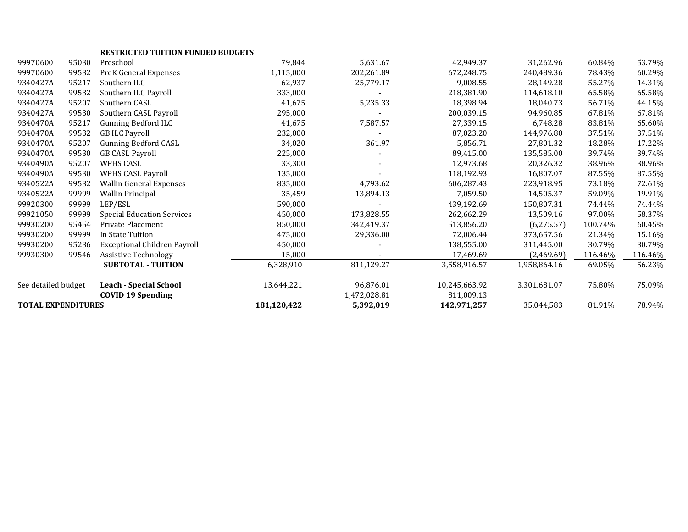|                           |       | <b>RESTRICTED TUITION FUNDED BUDGETS</b> |             |              |               |              |         |         |
|---------------------------|-------|------------------------------------------|-------------|--------------|---------------|--------------|---------|---------|
| 99970600                  | 95030 | Preschool                                | 79,844      | 5,631.67     | 42,949.37     | 31,262.96    | 60.84%  | 53.79%  |
| 99970600                  | 99532 | PreK General Expenses                    | 1,115,000   | 202,261.89   | 672.248.75    | 240,489.36   | 78.43%  | 60.29%  |
| 9340427A                  | 95217 | Southern ILC                             | 62,937      | 25,779.17    | 9,008.55      | 28,149.28    | 55.27%  | 14.31%  |
| 9340427A                  | 99532 | Southern ILC Payroll                     | 333,000     |              | 218,381.90    | 114,618.10   | 65.58%  | 65.58%  |
| 9340427A                  | 95207 | Southern CASL                            | 41,675      | 5,235.33     | 18,398.94     | 18,040.73    | 56.71%  | 44.15%  |
| 9340427A                  | 99530 | Southern CASL Payroll                    | 295,000     |              | 200,039.15    | 94,960.85    | 67.81%  | 67.81%  |
| 9340470A                  | 95217 | Gunning Bedford ILC                      | 41,675      | 7,587.57     | 27,339.15     | 6,748.28     | 83.81%  | 65.60%  |
| 9340470A                  | 99532 | <b>GB ILC Payroll</b>                    | 232,000     |              | 87,023.20     | 144,976.80   | 37.51%  | 37.51%  |
| 9340470A                  | 95207 | <b>Gunning Bedford CASL</b>              | 34,020      | 361.97       | 5,856.71      | 27,801.32    | 18.28%  | 17.22%  |
| 9340470A                  | 99530 | <b>GB CASL Payroll</b>                   | 225,000     |              | 89,415.00     | 135,585.00   | 39.74%  | 39.74%  |
| 9340490A                  | 95207 | WPHS CASL                                | 33,300      |              | 12,973.68     | 20,326.32    | 38.96%  | 38.96%  |
| 9340490A                  | 99530 | <b>WPHS CASL Payroll</b>                 | 135,000     |              | 118,192.93    | 16,807.07    | 87.55%  | 87.55%  |
| 9340522A                  | 99532 | Wallin General Expenses                  | 835,000     | 4,793.62     | 606,287.43    | 223,918.95   | 73.18%  | 72.61%  |
| 9340522A                  | 99999 | Wallin Principal                         | 35,459      | 13,894.13    | 7,059.50      | 14,505.37    | 59.09%  | 19.91%  |
| 99920300                  | 99999 | LEP/ESL                                  | 590,000     |              | 439,192.69    | 150,807.31   | 74.44%  | 74.44%  |
| 99921050                  | 99999 | <b>Special Education Services</b>        | 450,000     | 173,828.55   | 262,662.29    | 13,509.16    | 97.00%  | 58.37%  |
| 99930200                  | 95454 | Private Placement                        | 850,000     | 342,419.37   | 513,856.20    | (6,275.57)   | 100.74% | 60.45%  |
| 99930200                  | 99999 | In State Tuition                         | 475,000     | 29,336.00    | 72,006.44     | 373,657.56   | 21.34%  | 15.16%  |
| 99930200                  | 95236 | <b>Exceptional Children Payroll</b>      | 450,000     |              | 138,555.00    | 311,445.00   | 30.79%  | 30.79%  |
| 99930300                  | 99546 | <b>Assistive Technology</b>              | 15,000      |              | 17,469.69     | (2,469.69)   | 116.46% | 116.46% |
|                           |       | <b>SUBTOTAL - TUITION</b>                | 6,328,910   | 811,129.27   | 3,558,916.57  | 1,958,864.16 | 69.05%  | 56.23%  |
| See detailed budget       |       | <b>Leach - Special School</b>            | 13,644,221  | 96,876.01    | 10,245,663.92 | 3,301,681.07 | 75.80%  | 75.09%  |
|                           |       | <b>COVID 19 Spending</b>                 |             | 1,472,028.81 | 811,009.13    |              |         |         |
| <b>TOTAL EXPENDITURES</b> |       |                                          | 181,120,422 | 5,392,019    | 142,971,257   | 35,044,583   | 81.91%  | 78.94%  |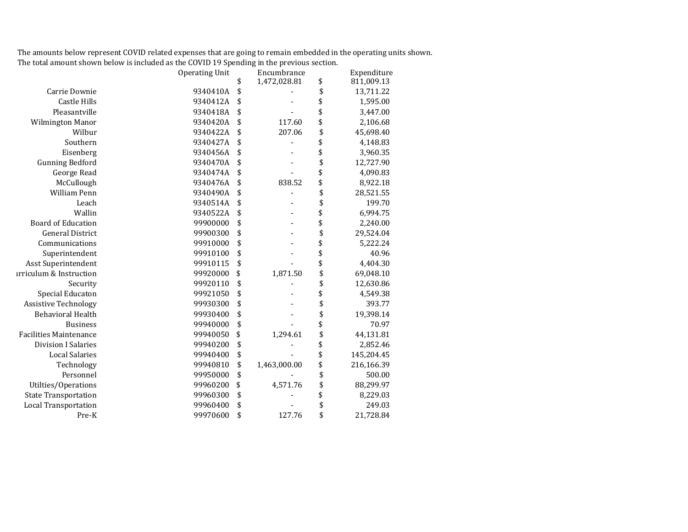The amounts below represent COVID related expenses that are going to remain embedded in the operating units shown. The total amount shown below is included as the COVID 19 Spending in the previous section.

|                                    | <b>Operating Unit</b> | Encumbrance        | Expenditure      |
|------------------------------------|-----------------------|--------------------|------------------|
|                                    |                       | \$<br>1,472,028.81 | \$<br>811,009.13 |
| Carrie Downie                      | 9340410A              | \$                 | \$<br>13,711.22  |
| <b>Castle Hills</b>                | 9340412A              | \$                 | \$<br>1,595.00   |
| Pleasantville                      | 9340418A              | \$                 | \$<br>3,447.00   |
| Wilmington Manor                   | 9340420A              | \$<br>117.60       | \$<br>2,106.68   |
| Wilbur                             | 9340422A              | \$<br>207.06       | \$<br>45,698.40  |
| Southern                           | 9340427A              | \$                 | \$<br>4,148.83   |
| Eisenberg                          | 9340456A              | \$                 | \$<br>3,960.35   |
| <b>Gunning Bedford</b>             | 9340470A              | \$                 | \$<br>12,727.90  |
| George Read                        | 9340474A              | \$                 | \$<br>4,090.83   |
| McCullough                         | 9340476A              | \$<br>838.52       | \$<br>8,922.18   |
| William Penn                       | 9340490A              | \$                 | \$<br>28,521.55  |
| Leach                              | 9340514A              | \$                 | \$<br>199.70     |
| Wallin                             | 9340522A              | \$                 | \$<br>6,994.75   |
| <b>Board of Education</b>          | 99900000              | \$                 | \$<br>2,240.00   |
| <b>General District</b>            | 99900300              | \$                 | \$<br>29,524.04  |
| Communications                     | 99910000              | \$                 | \$<br>5,222.24   |
| Superintendent                     | 99910100              | \$                 | \$<br>40.96      |
| Asst Superintendent                | 99910115              | \$                 | \$<br>4,404.30   |
| <b>irriculum &amp; Instruction</b> | 99920000              | \$<br>1,871.50     | \$<br>69,048.10  |
| Security                           | 99920110              | \$                 | \$<br>12,630.86  |
| Special Educaton                   | 99921050              | \$                 | \$<br>4,549.38   |
| <b>Assistive Technology</b>        | 99930300              | \$                 | \$<br>393.77     |
| <b>Behavioral Health</b>           | 99930400              | \$                 | \$<br>19,398.14  |
| <b>Business</b>                    | 99940000              | \$                 | \$<br>70.97      |
| <b>Facilities Maintenance</b>      | 99940050              | \$<br>1,294.61     | \$<br>44,131.81  |
| <b>Division I Salaries</b>         | 99940200              | \$                 | \$<br>2,852.46   |
| <b>Local Salaries</b>              | 99940400              | \$                 | \$<br>145,204.45 |
| Technology                         | 99940810              | \$<br>1,463,000.00 | \$<br>216,166.39 |
| Personnel                          | 99950000              | \$                 | \$<br>500.00     |
| Utilties/Operations                | 99960200              | \$<br>4,571.76     | \$<br>88,299.97  |
| <b>State Transportation</b>        | 99960300              | \$                 | \$<br>8,229.03   |
| <b>Local Transportation</b>        | 99960400              | \$                 | \$<br>249.03     |
| Pre-K                              | 99970600              | \$<br>127.76       | \$<br>21,728.84  |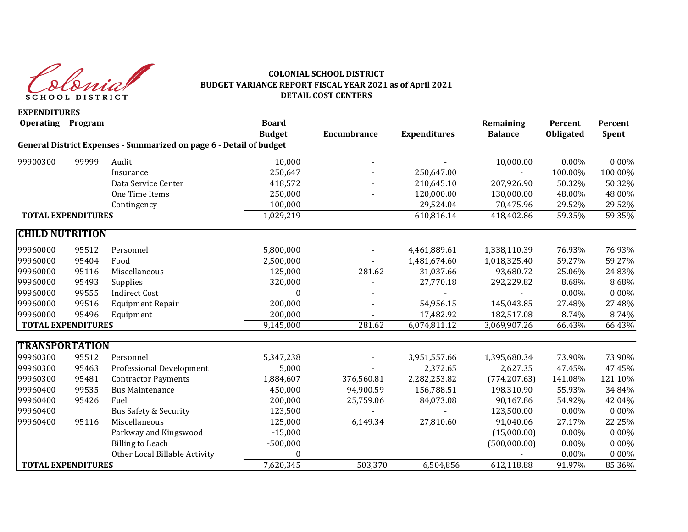

#### **COLONIAL SCHOOL DISTRICT BUDGET VARIANCE REPORT FISCAL YEAR 2021 as of April 2021 DETAIL COST CENTERS**

**EXPENDITURES Operating Program Board Remaining Percent Percent Budget Encumbrance Expenditures Balance Obligated Spent General District Expenses - Summarized on page 6 - Detail of budget** 99900300 99999 Audit 10,000 - - 10,000.00 0.00% 0.00% Insurance 250,647 - 250,647.00 - 100.00% 100.00% Data Service Center 418,572 210,645.10 207,926.90 50.32% 50.32% One Time Items 250,000 - 120,000.00 130,000.00 48.00% 48.00% Contingency 100,000 - 29,524.04 70,475.96 29.52% 29.52% **TOTAL EXPENDITURES** 1,029,219 - 610,816.14 418,402.86 59.35% 59.35% **CHILD NUTRITION**  99960000 95512 Personnel 5,800,000 - 4,461,889.61 1,338,110.39 76.93% 76.93% 99960000 95404 Food 2,500,000 - 1,481,674.60 1,018,325.40 59.27% 59.27% 99960000 95116 Miscellaneous 125,000 281.62 31,037.66 93,680.72 25.06% 24.83% 99960000 95493 Supplies 320,000 - 27,770.18 292,229.82 8.68% 8.68% 99960000 99555 Indirect Cost 0 - - - 0.00% 0.00% 99960000 99516 Equipment Repair 200,000 - 54,956.15 145,043.85 27.48% 27.48% 99960000 95496 Equipment 200,000 - 17,482.92 182,517.08 8.74% 8.74% **TOTAL EXPENDITURES** 66.43% **9,145,000** 281.62 6,074,811.12 3,069,907.26 66.43% 66.43% **TRANSPORTATION** 99960300 95512 Personnel 5,347,238 - 3,951,557.66 1,395,680.34 73.90% 73.90% 99960300 95463 Professional Development 5,000 - 2,372.65 2,627.35 47.45% 47.45% 99960300 95481 Contractor Payments 1,884,607 376,560.81 2,282,253.82 (774,207.63) 141.08% 121.10% 99960400 99535 Bus Maintenance 450,000 94,900.59 156,788.51 198,310.90 55.93% 34.84% 99960400 95426 Fuel 200,000 25,759.06 84,073.08 90,167.86 54.92% 42.04% 99960400 Bus Safety & Security 123,500 - - 123,500.00 0.00% 0.00% 0.00% 99960400 95116 Miscellaneous 125,000 6,149.34 27,810.60 91,040.06 27.17% 22.25% Parkway and Kingswood **2008** -15,000 **1208** -15,000 **15,000 15,000 16,000 16,000 16,000 16,000** 15,000 16,000 16,000 16,000 16,000 16,000 16,000 16,000 16,000 16,000 16,000 16,000 16,000 16,000 16,000 16,000 16,000 16,000 Billing to Leach -500,000 (500,000.00) 0.00% 0.00% Other Local Billable Activity  $0$  0.00% 0.00% 0.00% 0.00% **TOTAL EXPENDITURES** 65.36% **612,118.88** 503,370 6,504,856 612,118.88 91.97% 85.36%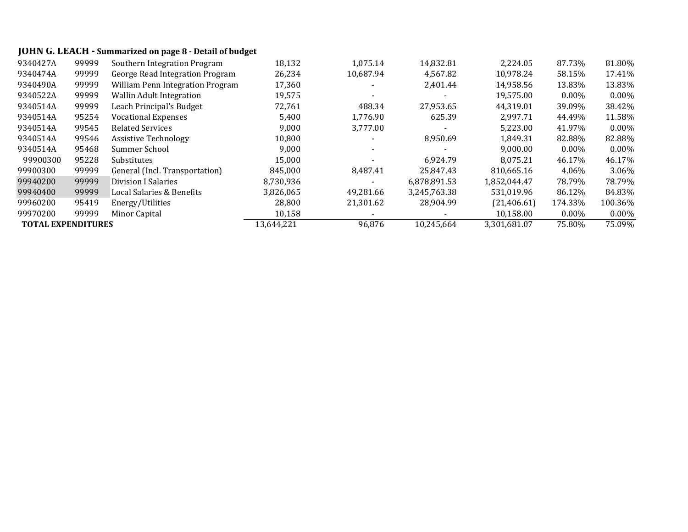# **JOHN G. LEACH - Summarized on page 8 - Detail of budget**

| 9340427A                  | 99999 | Southern Integration Program     | 18,132     | 1,075.14  | 14,832.81    | 2,224.05     | 87.73%   | 81.80%   |
|---------------------------|-------|----------------------------------|------------|-----------|--------------|--------------|----------|----------|
| 9340474A                  | 99999 | George Read Integration Program  | 26,234     | 10,687.94 | 4,567.82     | 10,978.24    | 58.15%   | 17.41%   |
| 9340490A                  | 99999 | William Penn Integration Program | 17,360     |           | 2,401.44     | 14,958.56    | 13.83%   | 13.83%   |
| 9340522A                  | 99999 | <b>Wallin Adult Integration</b>  | 19,575     |           |              | 19,575.00    | $0.00\%$ | $0.00\%$ |
| 9340514A                  | 99999 | Leach Principal's Budget         | 72.761     | 488.34    | 27,953.65    | 44.319.01    | 39.09%   | 38.42%   |
| 9340514A                  | 95254 | <b>Vocational Expenses</b>       | 5,400      | 1,776.90  | 625.39       | 2.997.71     | 44.49%   | 11.58%   |
| 9340514A                  | 99545 | <b>Related Services</b>          | 9,000      | 3,777.00  |              | 5,223.00     | 41.97%   | $0.00\%$ |
| 9340514A                  | 99546 | <b>Assistive Technology</b>      | 10,800     |           | 8,950.69     | 1,849.31     | 82.88%   | 82.88%   |
| 9340514A                  | 95468 | Summer School                    | 9,000      |           |              | 9,000.00     | $0.00\%$ | $0.00\%$ |
| 99900300                  | 95228 | Substitutes                      | 15,000     |           | 6.924.79     | 8.075.21     | 46.17%   | 46.17%   |
| 99900300                  | 99999 | General (Incl. Transportation)   | 845.000    | 8,487.41  | 25.847.43    | 810.665.16   | 4.06%    | 3.06%    |
| 99940200                  | 99999 | <b>Division I Salaries</b>       | 8,730,936  |           | 6,878,891.53 | 1,852,044.47 | 78.79%   | 78.79%   |
| 99940400                  | 99999 | Local Salaries & Benefits        | 3,826,065  | 49.281.66 | 3,245,763.38 | 531,019.96   | 86.12%   | 84.83%   |
| 99960200                  | 95419 | Energy/Utilities                 | 28.800     | 21.301.62 | 28.904.99    | (21, 406.61) | 174.33%  | 100.36%  |
| 99970200                  | 99999 | Minor Capital                    | 10,158     |           |              | 10,158.00    | $0.00\%$ | $0.00\%$ |
| <b>TOTAL EXPENDITURES</b> |       |                                  | 13,644,221 | 96,876    | 10,245,664   | 3,301,681.07 | 75.80%   | 75.09%   |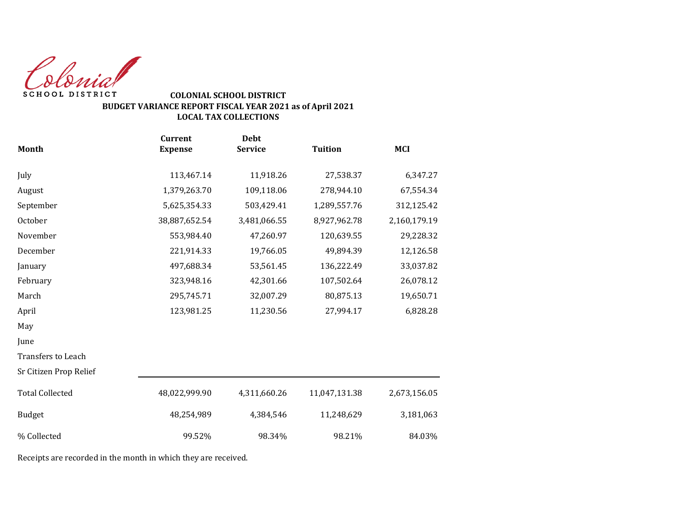Colonial SCHOOL DISTRICT

### **COLONIAL SCHOOL DISTRICT BUDGET VARIANCE REPORT FISCAL YEAR 2021 as of April 2021 LOCAL TAX COLLECTIONS**

|                        | <b>Current</b> | <b>Debt</b>    |                |              |
|------------------------|----------------|----------------|----------------|--------------|
| Month                  | <b>Expense</b> | <b>Service</b> | <b>Tuition</b> | <b>MCI</b>   |
| July                   | 113,467.14     | 11,918.26      | 27,538.37      | 6,347.27     |
| August                 | 1,379,263.70   | 109,118.06     | 278,944.10     | 67,554.34    |
| September              | 5,625,354.33   | 503,429.41     | 1,289,557.76   | 312,125.42   |
| October                | 38,887,652.54  | 3,481,066.55   | 8,927,962.78   | 2,160,179.19 |
| November               | 553,984.40     | 47,260.97      | 120,639.55     | 29,228.32    |
| December               | 221,914.33     | 19,766.05      | 49,894.39      | 12,126.58    |
| January                | 497,688.34     | 53,561.45      | 136,222.49     | 33,037.82    |
| February               | 323,948.16     | 42,301.66      | 107,502.64     | 26,078.12    |
| March                  | 295,745.71     | 32,007.29      | 80,875.13      | 19,650.71    |
| April                  | 123,981.25     | 11,230.56      | 27,994.17      | 6,828.28     |
| May                    |                |                |                |              |
| June                   |                |                |                |              |
| Transfers to Leach     |                |                |                |              |
| Sr Citizen Prop Relief |                |                |                |              |
| <b>Total Collected</b> | 48,022,999.90  | 4,311,660.26   | 11,047,131.38  | 2,673,156.05 |
| <b>Budget</b>          | 48,254,989     | 4,384,546      | 11,248,629     | 3,181,063    |
| % Collected            | 99.52%         | 98.34%         | 98.21%         | 84.03%       |

Receipts are recorded in the month in which they are received.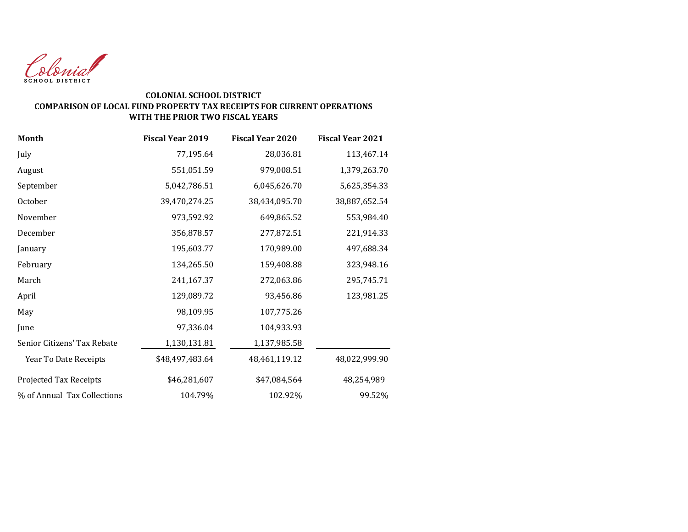

#### **COLONIAL SCHOOL DISTRICT COMPARISON OF LOCAL FUND PROPERTY TAX RECEIPTS FOR CURRENT OPERATIONS WITH THE PRIOR TWO FISCAL YEARS**

| <b>Month</b>                | <b>Fiscal Year 2019</b> | <b>Fiscal Year 2020</b> | <b>Fiscal Year 2021</b> |
|-----------------------------|-------------------------|-------------------------|-------------------------|
| July                        | 77,195.64               | 28,036.81               | 113,467.14              |
| August                      | 551,051.59              | 979,008.51              | 1,379,263.70            |
| September                   | 5,042,786.51            | 6,045,626.70            | 5,625,354.33            |
| October                     | 39,470,274.25           | 38,434,095.70           | 38,887,652.54           |
| November                    | 973,592.92              | 649,865.52              | 553,984.40              |
| December                    | 356,878.57              | 277,872.51              | 221,914.33              |
| January                     | 195,603.77              | 170,989.00              | 497,688.34              |
| February                    | 134,265.50              | 159,408.88              | 323,948.16              |
| March                       | 241,167.37              | 272,063.86              | 295,745.71              |
| April                       | 129,089.72              | 93,456.86               | 123,981.25              |
| May                         | 98,109.95               | 107,775.26              |                         |
| June                        | 97,336.04               | 104,933.93              |                         |
| Senior Citizens' Tax Rebate | 1,130,131.81            | 1,137,985.58            |                         |
| Year To Date Receipts       | \$48,497,483.64         | 48,461,119.12           | 48,022,999.90           |
| Projected Tax Receipts      | \$46,281,607            | \$47,084,564            | 48,254,989              |
| % of Annual Tax Collections | 104.79%                 | 102.92%                 | 99.52%                  |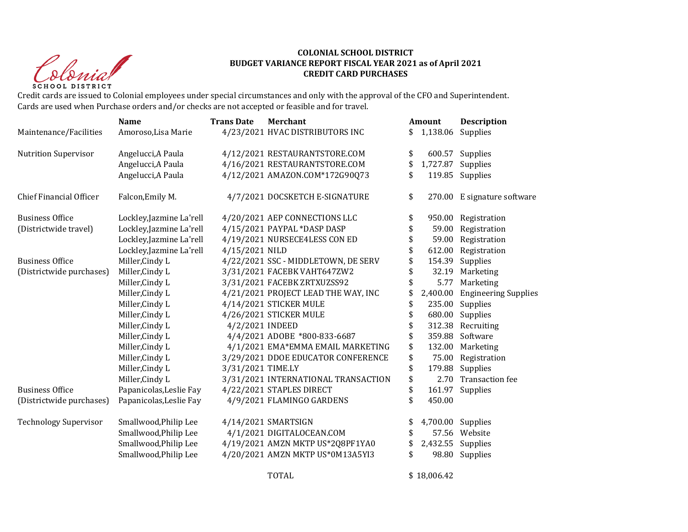Christ **SCHOOL DISTRICT** 

#### **COLONIAL SCHOOL DISTRICT BUDGET VARIANCE REPORT FISCAL YEAR 2021 as of April 2021 CREDIT CARD PURCHASES**

Credit cards are issued to Colonial employees under special circumstances and only with the approval of the CFO and Superintendent. Cards are used when Purchase orders and/or checks are not accepted or feasible and for travel.

|                                | <b>Name</b>              | <b>Trans Date</b> | <b>Merchant</b>                     | Amount         | <b>Description</b>          |
|--------------------------------|--------------------------|-------------------|-------------------------------------|----------------|-----------------------------|
| Maintenance/Facilities         | Amoroso, Lisa Marie      |                   | 4/23/2021 HVAC DISTRIBUTORS INC     | \$<br>1,138.06 | Supplies                    |
| <b>Nutrition Supervisor</b>    | Angelucci, A Paula       |                   | 4/12/2021 RESTAURANTSTORE.COM       | \$             | 600.57 Supplies             |
|                                | Angelucci, A Paula       |                   | 4/16/2021 RESTAURANTSTORE.COM       | \$<br>1,727.87 | Supplies                    |
|                                | Angelucci, A Paula       |                   | 4/12/2021 AMAZON.COM*172G90Q73      | \$             | 119.85 Supplies             |
| <b>Chief Financial Officer</b> | Falcon, Emily M.         |                   | 4/7/2021 DOCSKETCH E-SIGNATURE      | \$             | 270.00 E signature software |
| <b>Business Office</b>         | Lockley, Jazmine La'rell |                   | 4/20/2021 AEP CONNECTIONS LLC       | \$             | 950.00 Registration         |
| (Districtwide travel)          | Lockley, Jazmine La'rell |                   | 4/15/2021 PAYPAL *DASP DASP         | \$<br>59.00    | Registration                |
|                                | Lockley, Jazmine La'rell |                   | 4/19/2021 NURSECE4LESS CON ED       | \$<br>59.00    | Registration                |
|                                | Lockley, Jazmine La'rell | 4/15/2021 NILD    |                                     | \$<br>612.00   | Registration                |
| <b>Business Office</b>         | Miller, Cindy L          |                   | 4/22/2021 SSC - MIDDLETOWN, DE SERV | \$<br>154.39   | Supplies                    |
| (Districtwide purchases)       | Miller, Cindy L          |                   | 3/31/2021 FACEBK VAHT647ZW2         | \$<br>32.19    | Marketing                   |
|                                | Miller, Cindy L          |                   | 3/31/2021 FACEBK ZRTXUZSS92         | \$<br>5.77     | Marketing                   |
|                                | Miller, Cindy L          |                   | 4/21/2021 PROJECT LEAD THE WAY, INC | \$<br>2,400.00 | <b>Engineering Supplies</b> |
|                                | Miller, Cindy L          |                   | 4/14/2021 STICKER MULE              | \$<br>235.00   | Supplies                    |
|                                | Miller, Cindy L          |                   | 4/26/2021 STICKER MULE              | \$<br>680.00   | Supplies                    |
|                                | Miller, Cindy L          | 4/2/2021 INDEED   |                                     | \$             | 312.38 Recruiting           |
|                                | Miller, Cindy L          |                   | 4/4/2021 ADOBE *800-833-6687        | \$<br>359.88   | Software                    |
|                                | Miller, Cindy L          |                   | 4/1/2021 EMA*EMMA EMAIL MARKETING   | \$<br>132.00   | Marketing                   |
|                                | Miller, Cindy L          |                   | 3/29/2021 DDOE EDUCATOR CONFERENCE  | \$<br>75.00    | Registration                |
|                                | Miller, Cindy L          | 3/31/2021 TIME.LY |                                     | \$<br>179.88   | Supplies                    |
|                                | Miller, Cindy L          |                   | 3/31/2021 INTERNATIONAL TRANSACTION | \$<br>2.70     | <b>Transaction fee</b>      |
| <b>Business Office</b>         | Papanicolas, Leslie Fay  |                   | 4/22/2021 STAPLES DIRECT            | \$<br>161.97   | Supplies                    |
| (Districtwide purchases)       | Papanicolas, Leslie Fay  |                   | 4/9/2021 FLAMINGO GARDENS           | \$<br>450.00   |                             |
| <b>Technology Supervisor</b>   | Smallwood, Philip Lee    |                   | 4/14/2021 SMARTSIGN                 | \$             | 4,700.00 Supplies           |
|                                | Smallwood, Philip Lee    |                   | 4/1/2021 DIGITALOCEAN.COM           | \$             | 57.56 Website               |
|                                | Smallwood, Philip Lee    |                   | 4/19/2021 AMZN MKTP US*2Q8PF1YA0    | \$<br>2,432.55 | Supplies                    |
|                                | Smallwood, Philip Lee    |                   | 4/20/2021 AMZN MKTP US*0M13A5YI3    | \$             | 98.80 Supplies              |
|                                |                          |                   | <b>TOTAL</b>                        | \$18,006.42    |                             |